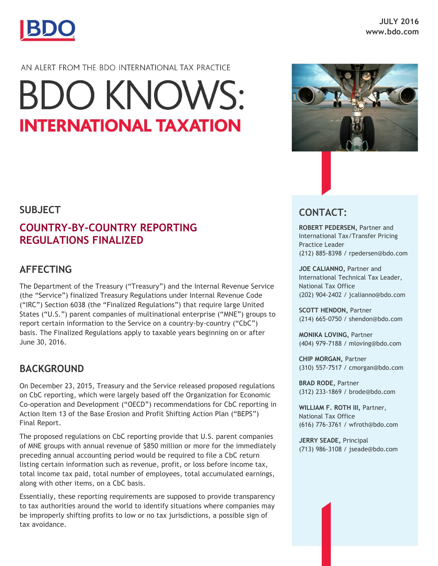

## AN ALERT FROM THE BDO INTERNATIONAL TAX PRACTICE

# **BDO KNOWS: INTERNATIONAL TAXATION**

## **SUBJECT**

## **COUNTRY-BY-COUNTRY REPORTING REGULATIONS FINALIZED**

## **AFFECTING**

The Department of the Treasury ("Treasury") and the Internal Revenue Service (the "Service") finalized Treasury Regulations under Internal Revenue Code ("IRC") Section 6038 (the "Finalized Regulations") that require large United States ("U.S.") parent companies of multinational enterprise ("MNE") groups to report certain information to the Service on a country-by-country ("CbC") basis. The Finalized Regulations apply to taxable years beginning on or after June 30, 2016.

## **BACKGROUND**

On December 23, 2015, Treasury and the Service released proposed regulations on CbC reporting, which were largely based off the Organization for Economic Co-operation and Development ("OECD") recommendations for CbC reporting in Action Item 13 of the Base Erosion and Profit Shifting Action Plan ("BEPS") Final Report.

The proposed regulations on CbC reporting provide that U.S. parent companies of MNE groups with annual revenue of \$850 million or more for the immediately preceding annual accounting period would be required to file a CbC return listing certain information such as revenue, profit, or loss before income tax, total income tax paid, total number of employees, total accumulated earnings, along with other items, on a CbC basis.

Essentially, these reporting requirements are supposed to provide transparency to tax authorities around the world to identify situations where companies may be improperly shifting profits to low or no tax jurisdictions, a possible sign of tax avoidance.





**ROBERT PEDERSEN,** Partner and International Tax/Transfer Pricing Practice Leader (212) 885-8398 / rpedersen@bdo.com

**JOE CALIANNO,** Partner and International Technical Tax Leader, National Tax Office (202) 904-2402 / jcalianno@bdo.com

**SCOTT HENDON,** Partner (214) 665-0750 / shendon@bdo.com

**MONIKA LOVING,** Partner (404) 979-7188 / mloving@bdo.com

**CHIP MORGAN,** Partner (310) 557-7517 / cmorgan@bdo.com

**BRAD RODE,** Partner (312) 233-1869 / brode@bdo.com

**WILLIAM F. ROTH III,** Partner, National Tax Office (616) 776-3761 / wfroth@bdo.com

**JERRY SEADE,** Principal (713) 986-3108 / jseade@bdo.com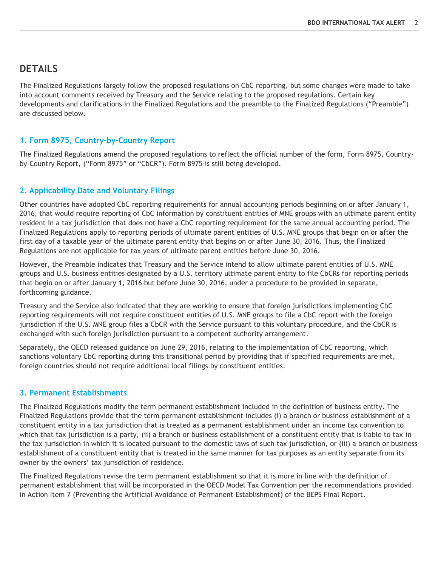## **DETAILS**

The Finalized Regulations largely follow the proposed regulations on CbC reporting, but some changes were made to take into account comments received by Treasury and the Service relating to the proposed regulations. Certain key developments and clarifications in the Finalized Regulations and the preamble to the Finalized Regulations ("Preamble") are discussed below.

#### **1. Form 8975, Country-by-Country Report**

The Finalized Regulations amend the proposed regulations to reflect the official number of the form, Form 8975, Countryby-Country Report, ("Form 8975" or "CbCR"). Form 8975 is still being developed.

#### **2. Applicability Date and Voluntary Filings**

Other countries have adopted CbC reporting requirements for annual accounting periods beginning on or after January 1, 2016, that would require reporting of CbC information by constituent entities of MNE groups with an ultimate parent entity resident in a tax jurisdiction that does not have a CbC reporting requirement for the same annual accounting period. The Finalized Regulations apply to reporting periods of ultimate parent entities of U.S. MNE groups that begin on or after the first day of a taxable year of the ultimate parent entity that begins on or after June 30, 2016. Thus, the Finalized Regulations are not applicable for tax years of ultimate parent entities before June 30, 2016.

However, the Preamble indicates that Treasury and the Service intend to allow ultimate parent entities of U.S. MNE groups and U.S. business entities designated by a U.S. territory ultimate parent entity to file CbCRs for reporting periods that begin on or after January 1, 2016 but before June 30, 2016, under a procedure to be provided in separate, forthcoming guidance.

Treasury and the Service also indicated that they are working to ensure that foreign jurisdictions implementing CbC reporting requirements will not require constituent entities of U.S. MNE groups to file a CbC report with the foreign jurisdiction if the U.S. MNE group files a CbCR with the Service pursuant to this voluntary procedure, and the CbCR is exchanged with such foreign jurisdiction pursuant to a competent authority arrangement.

Separately, the OECD released guidance on June 29, 2016, relating to the implementation of CbC reporting, which sanctions voluntary CbC reporting during this transitional period by providing that if specified requirements are met, foreign countries should not require additional local filings by constituent entities.

#### **3. Permanent Establishments**

The Finalized Regulations modify the term permanent establishment included in the definition of business entity. The Finalized Regulations provide that the term permanent establishment includes (i) a branch or business establishment of a constituent entity in a tax jurisdiction that is treated as a permanent establishment under an income tax convention to which that tax jurisdiction is a party, (ii) a branch or business establishment of a constituent entity that is liable to tax in the tax jurisdiction in which it is located pursuant to the domestic laws of such tax jurisdiction, or (iii) a branch or business establishment of a constituent entity that is treated in the same manner for tax purposes as an entity separate from its owner by the owners' tax jurisdiction of residence.

The Finalized Regulations revise the term permanent establishment so that it is more in line with the definition of permanent establishment that will be incorporated in the OECD Model Tax Convention per the recommendations provided in Action Item 7 (Preventing the Artificial Avoidance of Permanent Establishment) of the BEPS Final Report.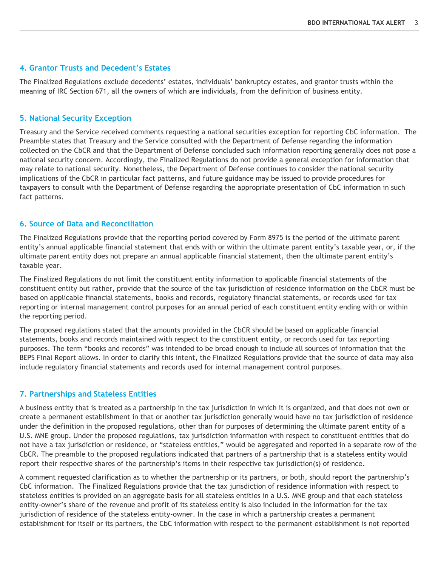#### **4. Grantor Trusts and Decedent's Estates**

The Finalized Regulations exclude decedents' estates, individuals' bankruptcy estates, and grantor trusts within the meaning of IRC Section 671, all the owners of which are individuals, from the definition of business entity.

#### **5. National Security Exception**

Treasury and the Service received comments requesting a national securities exception for reporting CbC information. The Preamble states that Treasury and the Service consulted with the Department of Defense regarding the information collected on the CbCR and that the Department of Defense concluded such information reporting generally does not pose a national security concern. Accordingly, the Finalized Regulations do not provide a general exception for information that may relate to national security. Nonetheless, the Department of Defense continues to consider the national security implications of the CbCR in particular fact patterns, and future guidance may be issued to provide procedures for taxpayers to consult with the Department of Defense regarding the appropriate presentation of CbC information in such fact patterns.

#### **6. Source of Data and Reconciliation**

The Finalized Regulations provide that the reporting period covered by Form 8975 is the period of the ultimate parent entity's annual applicable financial statement that ends with or within the ultimate parent entity's taxable year, or, if the ultimate parent entity does not prepare an annual applicable financial statement, then the ultimate parent entity's taxable year.

The Finalized Regulations do not limit the constituent entity information to applicable financial statements of the constituent entity but rather, provide that the source of the tax jurisdiction of residence information on the CbCR must be based on applicable financial statements, books and records, regulatory financial statements, or records used for tax reporting or internal management control purposes for an annual period of each constituent entity ending with or within the reporting period.

The proposed regulations stated that the amounts provided in the CbCR should be based on applicable financial statements, books and records maintained with respect to the constituent entity, or records used for tax reporting purposes. The term "books and records" was intended to be broad enough to include all sources of information that the BEPS Final Report allows. In order to clarify this intent, the Finalized Regulations provide that the source of data may also include regulatory financial statements and records used for internal management control purposes.

#### **7. Partnerships and Stateless Entities**

A business entity that is treated as a partnership in the tax jurisdiction in which it is organized, and that does not own or create a permanent establishment in that or another tax jurisdiction generally would have no tax jurisdiction of residence under the definition in the proposed regulations, other than for purposes of determining the ultimate parent entity of a U.S. MNE group. Under the proposed regulations, tax jurisdiction information with respect to constituent entities that do not have a tax jurisdiction or residence, or "stateless entities," would be aggregated and reported in a separate row of the CbCR. The preamble to the proposed regulations indicated that partners of a partnership that is a stateless entity would report their respective shares of the partnership's items in their respective tax jurisdiction(s) of residence.

A comment requested clarification as to whether the partnership or its partners, or both, should report the partnership's CbC information. The Finalized Regulations provide that the tax jurisdiction of residence information with respect to stateless entities is provided on an aggregate basis for all stateless entities in a U.S. MNE group and that each stateless entity-owner's share of the revenue and profit of its stateless entity is also included in the information for the tax jurisdiction of residence of the stateless entity-owner. In the case in which a partnership creates a permanent establishment for itself or its partners, the CbC information with respect to the permanent establishment is not reported